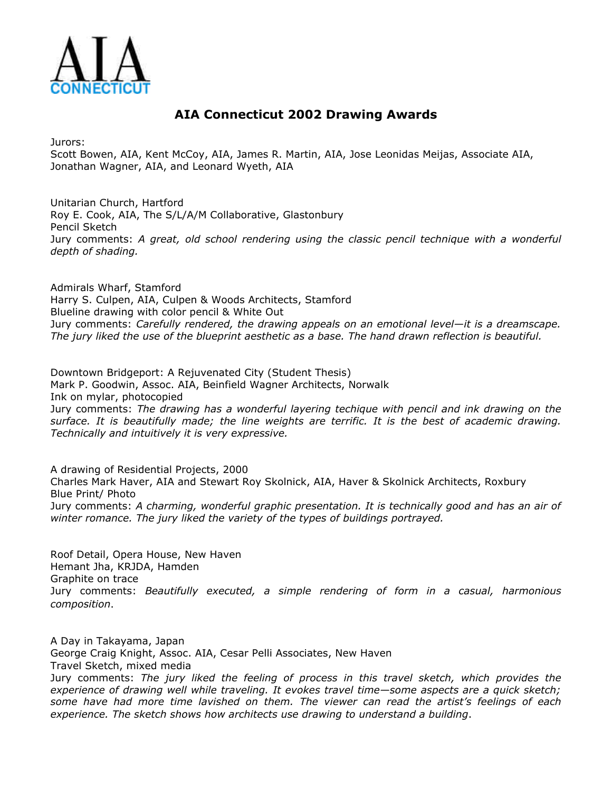

## **AIA Connecticut 2002 Drawing Awards**

Jurors:

Scott Bowen, AIA, Kent McCoy, AIA, James R. Martin, AIA, Jose Leonidas Meijas, Associate AIA, Jonathan Wagner, AIA, and Leonard Wyeth, AIA

Unitarian Church, Hartford Roy E. Cook, AIA, The S/L/A/M Collaborative, Glastonbury Pencil Sketch Jury comments: *A great, old school rendering using the classic pencil technique with a wonderful depth of shading.*

Admirals Wharf, Stamford Harry S. Culpen, AIA, Culpen & Woods Architects, Stamford Blueline drawing with color pencil & White Out Jury comments: *Carefully rendered, the drawing appeals on an emotional level—it is a dreamscape. The jury liked the use of the blueprint aesthetic as a base. The hand drawn reflection is beautiful.*

Downtown Bridgeport: A Rejuvenated City (Student Thesis) Mark P. Goodwin, Assoc. AIA, Beinfield Wagner Architects, Norwalk Ink on mylar, photocopied Jury comments: *The drawing has a wonderful layering techique with pencil and ink drawing on the surface. It is beautifully made; the line weights are terrific. It is the best of academic drawing. Technically and intuitively it is very expressive.*

A drawing of Residential Projects, 2000 Charles Mark Haver, AIA and Stewart Roy Skolnick, AIA, Haver & Skolnick Architects, Roxbury Blue Print/ Photo Jury comments: *A charming, wonderful graphic presentation. It is technically good and has an air of winter romance. The jury liked the variety of the types of buildings portrayed.*

Roof Detail, Opera House, New Haven Hemant Jha, KRJDA, Hamden Graphite on trace Jury comments: *Beautifully executed, a simple rendering of form in a casual, harmonious composition*.

A Day in Takayama, Japan George Craig Knight, Assoc. AIA, Cesar Pelli Associates, New Haven Travel Sketch, mixed media

Jury comments: *The jury liked the feeling of process in this travel sketch, which provides the experience of drawing well while traveling. It evokes travel time—some aspects are a quick sketch; some have had more time lavished on them. The viewer can read the artist's feelings of each experience. The sketch shows how architects use drawing to understand a building*.